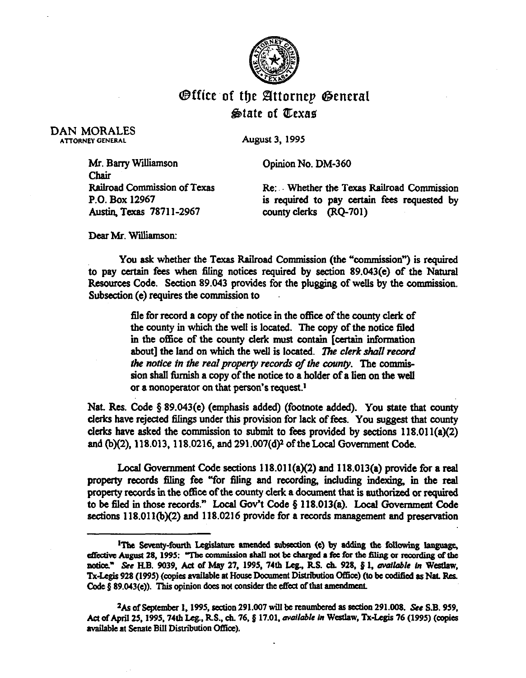

## @ffice~of tfy **SZlttornrp 63enrraI &date of Pr;exas**

DAN MORALES

August 3, 1995

Mr. Barry Williamson Cpinion No. DM-360 Chair<br>Railroad Commission of Texas Austin, Texas 7871 l-2967 county clerks (RQ-701)

Re: Whether the Texas Railroad Commission P.O. Box 12967 is required to pay certain fees requested by

Dear Mr. Williamson:

You ask whether the Texas Railroad Commission (the "commission") is required to pay certain fees when filing notices required by section 89.043(e) of the Natural Resources Code. Section 89.043 provides for the plugging of wells by the commission. Subsection (e) requires the commission to

> file for record a copy of the notice in the office of the county clerk of the county in which the well is located. The copy of the notice filed in the office of the county clerk must contain [certain information about] the land on which the well is located. The clerk shall record *the notice in the real property records of the county. The commis*sion shall fiunish a copy of the notice to a holder of a lien on the well or a nonoperator on that person's request.<sup>1</sup>

Nat. Res. Code  $\S$  89.043(e) (emphasis added) (footnote added). You state that county clerks have rejected filings under this provision for lack of fees. You suggest that county clerks have asked the commission to submit to fees provided by sections 118.011(a)(2) and  $(b)(2)$ , 118.013, 118.0216, and 291.007(d)<sup>2</sup> of the Local Government Code.

Local Government Code sections 118.01 I(a)(2) and 118.013(a) provide for a real property records filing fee "for filing and recording, including indexing, in the real property records in the office of the county clerk a document that is authorized or required to be 6led in those records." Local Gov't Code 5 118.013(a). Local Govemment Code sections 118.011(b)(2) and 118.0216 provide for a records management and preservation

<sup>&</sup>lt;sup>1</sup>The Seventy-fourth Legislature amended subsection (e) by adding the following language. effective August 28, 1995: "The commission shall not be charged a fee for the filing or recording of the notice." See H.B. 9039, Act of May 27, 1995, 74th Leg., R.S. ch. 928, § 1, available in Westlaw, Tx-Legis 928 (1995) (copies available at House Document Distribution Office) (to be codified as Nat. Res. Code § 89.043(e)). This opinion does not consider the effect of that amendment

<sup>&</sup>lt;sup>2</sup>As of September 1, 1995, section 291.007 will be renumbered as section 291.008. See S.B. 959. Act of April 25, 1995, 74th Leg., R.S., ch. 76, § 17.01, *available in* Westlaw, Tx-Legis 76 (1995) (copies available at Senate Bill Distribution Office).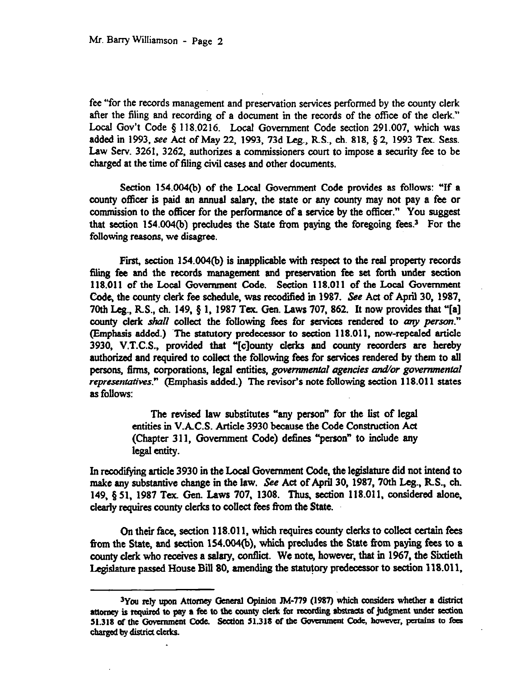fee "for the records management and preservation services performed by the county clerk after the filing and recording of a document in the records of the office of the clerk." Local Gov't Code § 118.0216. Local Government Code section 291.007, which was added in 1993, see Act of May 22, 1993, 73d Leg., R.S., ch. 818, § 2, 1993 Tex. Sess. Law Serv. 3261, 3262, authorizes a commissioners court to impose a security fee to be charged at the time of filing civil cases and other documents,

Section 154.004(b) of the Local Government Code provides as follows: "If a county officer is paid an annual salary. the state or any county may not pay a fee or commission to the officer for the performance of a service by the officer." You suggest that section 154.004(b) precludes the State from paying the foregoing fees.<sup>3</sup> For the following reasons, we disagree.

First, section 154.004(b) is inapplicable with respect to the real property records filmg fee and the records management and preservation fee set forth under section 118.011 of the Local Government Code. Section 118.011 of the Local Government Code, the county clerk fee schedule, was recodified in 1987. See Act of April 30, 1987. 70th Leg., R.S., ch. 149, § 1, 1987 Tex. Gen. Laws 707, 862. It now provides that "[a] county clerk shall collect the following fees for services rendered to any person." (Emphasis added.) 'The statutory predecessor to section 118.011, now-repealed article 3930, V.T.C.S., provided that "[c]ounty clerks and county recorders are hereby authorized and required to collect the following fees for services rendered by them *to all*  persons, firms, corporations, legal entities, *governmental agencies and/or governmental representatives.*" (Emphasis added.) The revisor's note following section 118.011 states as follows:

> The revised law substitutes "any person" for the list of legal entities in V.AC.S. Article 3930 because the Code Construction Act (Chapter 311, Government Code) detines "person" to include any legal entity.

In recodifying article 3930 in the Local Government Code, the legislature did not intend to make any substantive change in the law. See Act of April 30, 1987, 70th Leg., R.S., ch. 149, 5 51, 1987 Tex. Gen. Laws 707, 1308. Thus, section 118.011, considered alone, clearly requires county clerks to collect fees from the State.

Gn their face, section 118.011, which requires county clerks to collect certain fees from the State, and section 154.004(b), which precludes the State from paying fees to a county clerk who receives a salary, conflict. We note, however, that in 1967, the Sixtieth Legislature passed House Bill 80, amending the statutory predecessor to section 118.011,

<sup>&</sup>lt;sup>3</sup>You rely upon Attorney General Opinion JM-779 (1987) which considers whether a district attorney is required to pay a fee to the county clerk for recording abstracts of judgment under section 51.318 of the Government Code. Section 51.318 of the Government Code, however, pertains to fees **ebargcd by distria clerks.**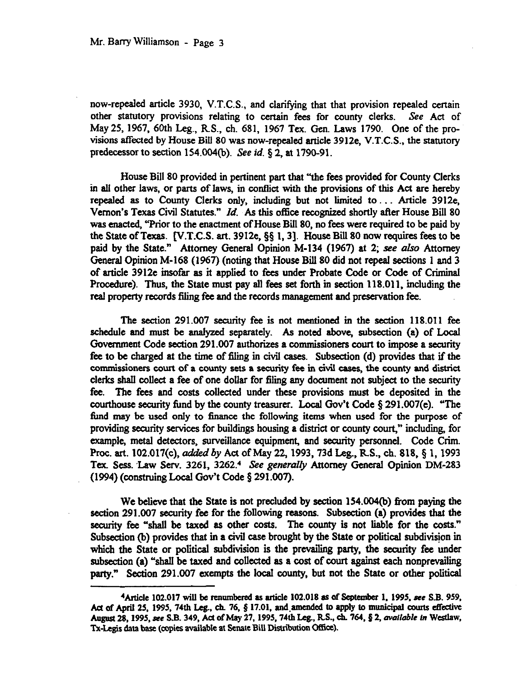now-repealed article 3930, V.T.C.S., and clarifying that that provision repealed certain other statutory provisions relating to certain fees for county clerks. See Act of May25,1967, 60th Leg., RS., ch. 681, 1967 Tex. Gen. Laws 1790. One of the provisions affected by House Bill 80 was now-repealed article 3912e, V.T.C.S., the statutory predecessor to section 154.004(b). See id.  $\S$  2, at 1790-91.

House Bill 80 provided in pertinent part that "'the fees provided for County Clerks in all other laws, or parts of laws, in contlict with the provisions of this Act are hereby repealed as to County Clerks only, including but not limited to . . Article 3912e, Vernon's Texas Civil Statutes." Id. As this office recognized shortly after House Bill 80 was enacted, "Prior to the enactment of House Bill 80, no fees were required to be paid by the State of Texas.  $[V.T.C.S. art. 3912e, \S§ 1, 3]$ . House Bill 80 now requires fees to be paid by the State." Attorney General Opinion M-134 (1967) at 2; see also Attorney General Opinion M-168 (1967) (noting that House Bill 80 did not repeal sections 1 and 3 of article 3912e insofar as it applied to fees under Probate Code or Code of Criminal Procedure). Thus, the State *must* pay all fees set forth in section 118.011, including the real property records filing fee and the records management and preservation fee.

The section 291.007 security fee is not mentioned in the section 118.011 fee schedule and must be analyzed separately. As noted above, subsection (a) of Local Government Code section 291.007 authorizes a commissioners court to impose a security fee to be charged at the time of filing in civil cases. Subsection (d) provides that if the commissioners court of a county sets a security fee in civil cases, the county and district clerks shall collect a fee of one dollar for filing any document not subject to the security fee. The fees and costs collected under these provisions must be deposited in the courthouse security fund by the county treasurer. Local Gov't Code 5 291.007(e). "The fund may be used only to finance the following items when used for the purpose of providing security services for buildings housing a district or county court," including, for example, metal detectors, surveillance equipment, and security personnel. Code Crim. Proc. art. 102.017(c), added by Act of May 22, 1993, 73d Leg., R.S., ch. 818, § 1, 1993 Tex. Sess. Law Serv. 3261, 3262.<sup>4</sup> See generally Attorney General Opinion DM-283 (1994) (construing Local Gov't Code  $\S 291.007$ ).

We believe that the State is not precluded by section 154.004(b) from paying the section 291.007 security fee for the following reasons. Subsection (a) provides that the security fee "shall be taxed as other costs. The county is not liable for the costs." Subsection (b) provides that in a civil case brought by the State or political subdivision in which the State or political subdivision is the prevailing party, the security fee under subsection (a) "shall be taxed and collected as a cost of court against each nonprevailing party." Section 291.007 exempts the local county, but not the State or other political

<sup>&</sup>lt;sup>4</sup>Article 102.017 will be renumbered as article 102.018 as of September 1, 1995, see S.B. 959, Act of April 25, 1995, 74th Leg., ch. 76, § 17.01, and amended to apply to municipal courts effective August 28, 1995, see S.B. 349, Act of May 27, 1995, 74th Leg., R.S., ch. 764, § 2, *available in Westlaw*, Tx-Legis data base (copies available at Senate Bill Distribution Office).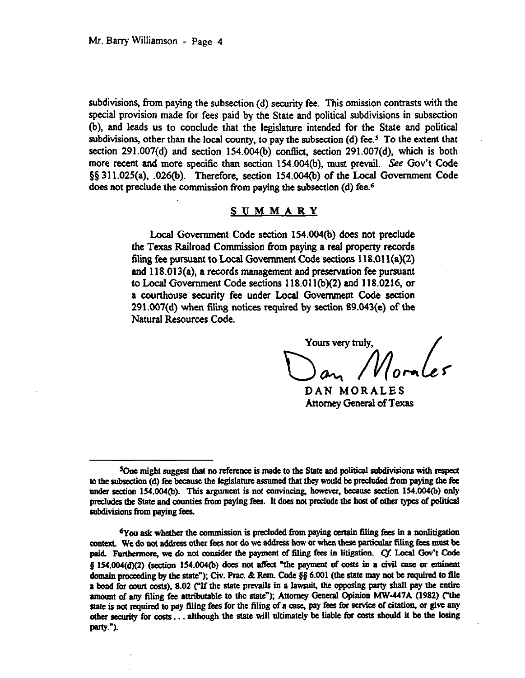subdivisions, from paying the subsection (d) security fee. This omission contrasts with the special provision made for fees paid by the State and political subdivisions in subsection (b). and leads us to conclude that the legislature intended for the State and political subdivisions, other than the local county, to pay the subsection (d) fee.<sup>5</sup> To the extent that section  $291.007(d)$  and section  $154.004(b)$  conflict, section  $291.007(d)$ , which is both more recent and more specific than section 154.004(b), must prevail. See Gov't Code  $\S$ § 311.025(a), .026(b). Therefore, section 154.004(b) of the Local Government Code does not preclude the commission from paying the subsection (d) fee.<sup>6</sup>

## **SUMMARY**

Local Government Code section 154.004(b) does not preclude the Texas Railroad Commission from paying a real property records filing fee pursuant to Local Government Code sections 118.011(a)(2) and 118.013(a), a records management and preservation fee pursuant to Local Government Code sections 118.011(b)(2) and 118.0216, or a courthouse security fee under Local Government Code section  $291.007(d)$  when filing notices required by section 89.043(e) of the Natural Resources Code.

Yours very truly,

DAN MORALES Attorney General of Texas

 $5$ One might suggest that no reference is made to the State and political subdivisions with respect to the subsection (d) fee because the legislature assumed that they would be precluded from paying the fee under section 154.004(b). This argument is not convincing, however, because section 154.004(b) only precludes the State and counties from paying fees. It does not preclude the host of other types of political subdivisions from paying fees.

<sup>&</sup>lt;sup>6</sup>You ask whether the commission is precluded from paying certain filing fees in a nonlitigation context. We do not address other fees nor do we address how or when these particular filing fees must be paid. Furthermore, we do not consider the payment of filing fees in litigation. Cf. Local Gov't Code § 154.004(d)(2) (section 154.004(b) does not affect "the payment of costs in a civil case or eminent domain proceeding by the state"); Civ. Prac. & Rem. Code §§ 6.001 (the state may not be required to file a bond for court costs), 8.02 ("If the state prevails in a lawsuit, the opposing party shall pay the entire amount of any filing fee attributable to the state"); Attorney General Opinion MW-447A (1982) ("the state is not required to pay filing fees for the filing of a case, pay fees for service of citation, or give any other security for costs ... although the state will ultimately be liable for costs should it be the losing party.").